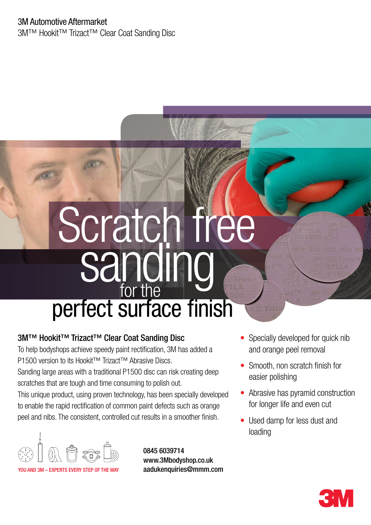3M™ Hookit™ Trizact™ Clear Coat Sanding Disc

# perfect surface finish sanding Scratch free for the

## 3M™ Hookit™ Trizact™ Clear Coat Sanding Disc

To help bodyshops achieve speedy paint rectification, 3M has added a P1500 version to its Hookit™ Trizact<sup>™</sup> Abrasive Discs. Sanding large areas with a traditional P1500 disc can risk creating deep scratches that are tough and time consuming to polish out. This unique product, using proven technology, has been specially developed to enable the rapid rectification of common paint defects such as orange peel and nibs. The consistent, controlled cut results in a smoother finish.



0845 6039714 www.3Mbodyshop.co.uk aadukenquiries@mmm.com

- Specially developed for quick nib and orange peel removal
- Smooth, non scratch finish for easier polishing
- Abrasive has pyramid construction for longer life and even cut
- Used damp for less dust and loading